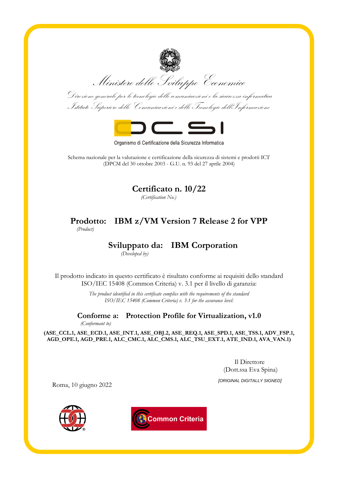Ministero dello Sviluppo Economico Direzione generale per le tecnologie delle comunicazioni e la sicurezza informatica Istituto Superiore delle Comunicazioni e delle Tecnologie dell'Informazione



Organismo di Certificazione della Sicurezza Informatica

Schema nazionale per la valutazione e certificazione della sicurezza di sistemi e prodotti ICT (DPCM del 30 ottobre 2003 - G.U. n. 93 del 27 aprile 2004)

## **Certificato n. 10/22**

*(Certification No.)*

#### **Prodotto: IBM z/VM Version 7 Release 2 for VPP** *(Product)*

**Sviluppato da: IBM Corporation**

*(Developed by)*

Il prodotto indicato in questo certificato è risultato conforme ai requisiti dello standard ISO/IEC 15408 (Common Criteria) v. 3.1 per il livello di garanzia:

> *The product identified in this certificate complies with the requirements of the standard ISO/IEC 15408 (Common Criteria) v. 3.1 for the assurance level:*

**Conforme a: Protection Profile for Virtualization, v1.0** *(Conformant to)*

**(ASE\_CCL.1, ASE\_ECD.1, ASE\_INT.1, ASE\_OBJ.2, ASE\_REQ.1, ASE\_SPD.1, ASE\_TSS.1, ADV\_FSP.1, AGD\_OPE.1, AGD\_PRE.1, ALC\_CMC.1, ALC\_CMS.1, ALC\_TSU\_EXT.1, ATE\_IND.1, AVA\_VAN.1)**

> Il Direttore (Dott.ssa Eva Spina)

*[ORIGINAL DIGITALLY SIGNED]*

Roma, 10 giugno 2022



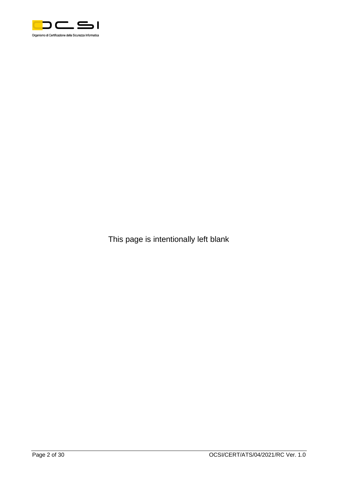

This page is intentionally left blank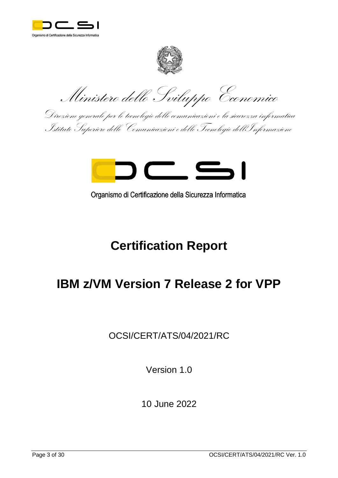



Ministero dello Sviluppo Economico

Direzione generale per le tecnologie delle comunicazioni e la sicurezza informatica Istituto Superiore delle Comunicazioni e delle Tecnologie dell'Informazione



Organismo di Certificazione della Sicurezza Informatica

# **Certification Report**

## **IBM z/VM Version 7 Release 2 for VPP**

OCSI/CERT/ATS/04/2021/RC

Version 1.0

10 June 2022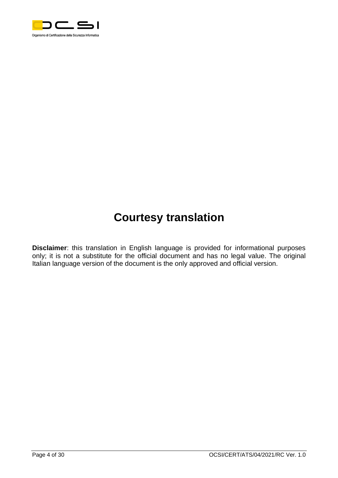

## **Courtesy translation**

**Disclaimer**: this translation in English language is provided for informational purposes only; it is not a substitute for the official document and has no legal value. The original Italian language version of the document is the only approved and official version.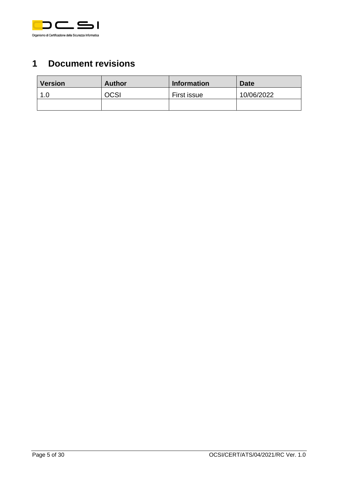

## <span id="page-4-0"></span>**1 Document revisions**

| <b>Version</b>         | <b>Author</b> | <b>Information</b> | <b>Date</b> |
|------------------------|---------------|--------------------|-------------|
| 0. ا<br>$\overline{A}$ | <b>OCSI</b>   | First issue        | 10/06/2022  |
|                        |               |                    |             |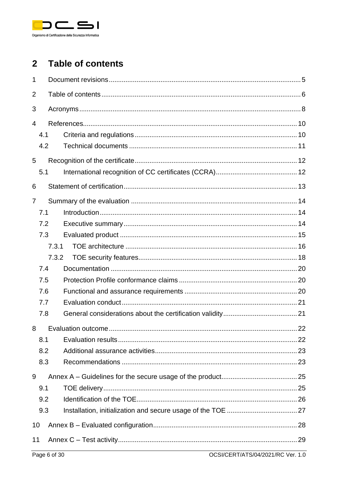

#### <span id="page-5-0"></span>**Table of contents**  $\overline{2}$

| 1  |       |                           |    |
|----|-------|---------------------------|----|
| 2  |       |                           |    |
| 3  |       |                           |    |
| 4  |       |                           |    |
|    | 4.1   |                           |    |
|    | 4.2   |                           |    |
| 5  |       |                           |    |
|    | 5.1   |                           |    |
| 6  |       |                           |    |
| 7  |       |                           |    |
|    | 7.1   |                           |    |
|    | 7.2   |                           |    |
|    | 7.3   |                           |    |
|    | 7.3.1 |                           |    |
|    | 7.3.2 |                           |    |
|    | 7.4   |                           |    |
|    | 7.5   |                           |    |
|    | 7.6   |                           |    |
|    | 7.7   |                           |    |
|    | 7.8   |                           |    |
| 8  |       | <b>Evaluation outcome</b> | 22 |
|    | 8.1   |                           |    |
|    | 8.2   |                           |    |
|    | 8.3   |                           |    |
| 9  |       |                           |    |
|    | 9.1   |                           |    |
|    | 9.2   |                           |    |
|    | 9.3   |                           |    |
| 10 |       |                           |    |
| 11 |       |                           |    |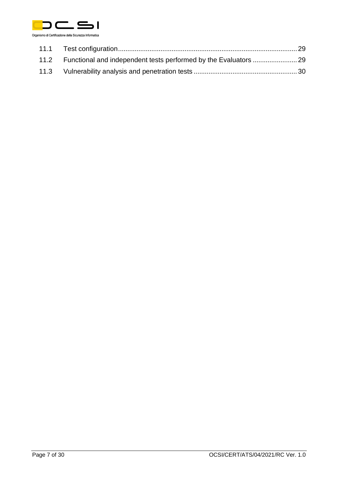

| 11.2 Functional and independent tests performed by the Evaluators |  |
|-------------------------------------------------------------------|--|
|                                                                   |  |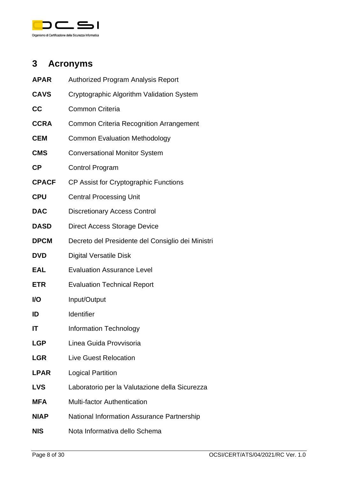

## <span id="page-7-0"></span>**3 Acronyms**

| <b>APAR</b>  | <b>Authorized Program Analysis Report</b>         |
|--------------|---------------------------------------------------|
| <b>CAVS</b>  | Cryptographic Algorithm Validation System         |
| cc           | <b>Common Criteria</b>                            |
| <b>CCRA</b>  | <b>Common Criteria Recognition Arrangement</b>    |
| <b>CEM</b>   | <b>Common Evaluation Methodology</b>              |
| <b>CMS</b>   | <b>Conversational Monitor System</b>              |
| <b>CP</b>    | <b>Control Program</b>                            |
| <b>CPACF</b> | CP Assist for Cryptographic Functions             |
| <b>CPU</b>   | <b>Central Processing Unit</b>                    |
| <b>DAC</b>   | <b>Discretionary Access Control</b>               |
| <b>DASD</b>  | <b>Direct Access Storage Device</b>               |
| <b>DPCM</b>  | Decreto del Presidente del Consiglio dei Ministri |
| <b>DVD</b>   | <b>Digital Versatile Disk</b>                     |
| <b>EAL</b>   | <b>Evaluation Assurance Level</b>                 |
| <b>ETR</b>   | <b>Evaluation Technical Report</b>                |
| <b>VO</b>    | Input/Output                                      |
| ID           | Identifier                                        |
| ΙT           | <b>Information Technology</b>                     |
| <b>LGP</b>   | Linea Guida Provvisoria                           |
| <b>LGR</b>   | <b>Live Guest Relocation</b>                      |
| <b>LPAR</b>  | <b>Logical Partition</b>                          |
| <b>LVS</b>   | Laboratorio per la Valutazione della Sicurezza    |
| MFA          | <b>Multi-factor Authentication</b>                |
| <b>NIAP</b>  | <b>National Information Assurance Partnership</b> |
| <b>NIS</b>   | Nota Informativa dello Schema                     |
|              |                                                   |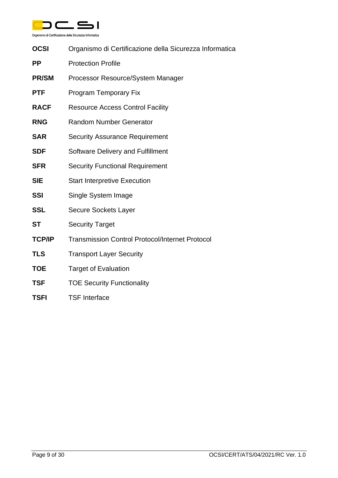

| <b>OCSI</b>   | Organismo di Certificazione della Sicurezza Informatica |
|---------------|---------------------------------------------------------|
| РP            | <b>Protection Profile</b>                               |
| <b>PR/SM</b>  | Processor Resource/System Manager                       |
| <b>PTF</b>    | Program Temporary Fix                                   |
| <b>RACF</b>   | <b>Resource Access Control Facility</b>                 |
| <b>RNG</b>    | <b>Random Number Generator</b>                          |
| <b>SAR</b>    | <b>Security Assurance Requirement</b>                   |
| <b>SDF</b>    | <b>Software Delivery and Fulfillment</b>                |
| <b>SFR</b>    | <b>Security Functional Requirement</b>                  |
| <b>SIE</b>    | <b>Start Interpretive Execution</b>                     |
| <b>SSI</b>    | Single System Image                                     |
| <b>SSL</b>    | <b>Secure Sockets Layer</b>                             |
| <b>ST</b>     | <b>Security Target</b>                                  |
| <b>TCP/IP</b> | <b>Transmission Control Protocol/Internet Protocol</b>  |
| <b>TLS</b>    | <b>Transport Layer Security</b>                         |
| <b>TOE</b>    | <b>Target of Evaluation</b>                             |
| <b>TSF</b>    | <b>TOE Security Functionality</b>                       |
| TSFI          | <b>TSF Interface</b>                                    |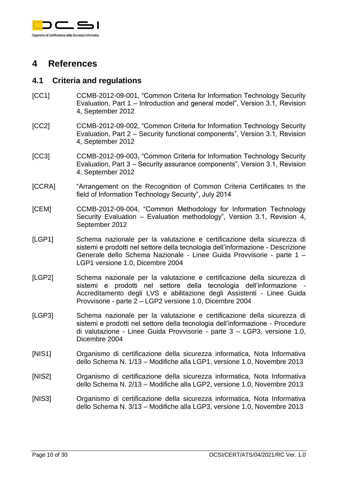

### <span id="page-9-0"></span>**4 References**

#### <span id="page-9-1"></span>**4.1 Criteria and regulations**

- [CC1] CCMB-2012-09-001, "Common Criteria for Information Technology Security Evaluation, Part 1 – Introduction and general model", Version 3.1, Revision 4, September 2012
- [CC2] CCMB-2012-09-002, "Common Criteria for Information Technology Security Evaluation, Part 2 – Security functional components", Version 3.1, Revision 4, September 2012
- [CC3] CCMB-2012-09-003, "Common Criteria for Information Technology Security Evaluation, Part 3 – Security assurance components", Version 3.1, Revision 4, September 2012
- [CCRA] "Arrangement on the Recognition of Common Criteria Certificates In the field of Information Technology Security", July 2014
- [CEM] CCMB-2012-09-004, "Common Methodology for Information Technology Security Evaluation – Evaluation methodology", Version 3.1, Revision 4, September 2012
- [LGP1] Schema nazionale per la valutazione e certificazione della sicurezza di sistemi e prodotti nel settore della tecnologia dell'informazione - Descrizione Generale dello Schema Nazionale - Linee Guida Provvisorie - parte 1 – LGP1 versione 1.0, Dicembre 2004
- [LGP2] Schema nazionale per la valutazione e certificazione della sicurezza di sistemi e prodotti nel settore della tecnologia dell'informazione Accreditamento degli LVS e abilitazione degli Assistenti - Linee Guida Provvisorie - parte 2 – LGP2 versione 1.0, Dicembre 2004
- [LGP3] Schema nazionale per la valutazione e certificazione della sicurezza di sistemi e prodotti nel settore della tecnologia dell'informazione - Procedure di valutazione - Linee Guida Provvisorie - parte 3 – LGP3, versione 1.0, Dicembre 2004
- [NIS1] Organismo di certificazione della sicurezza informatica, Nota Informativa dello Schema N. 1/13 – Modifiche alla LGP1, versione 1.0, Novembre 2013
- [NIS2] Organismo di certificazione della sicurezza informatica, Nota Informativa dello Schema N. 2/13 – Modifiche alla LGP2, versione 1.0, Novembre 2013
- [NIS3] Organismo di certificazione della sicurezza informatica, Nota Informativa dello Schema N. 3/13 – Modifiche alla LGP3, versione 1.0, Novembre 2013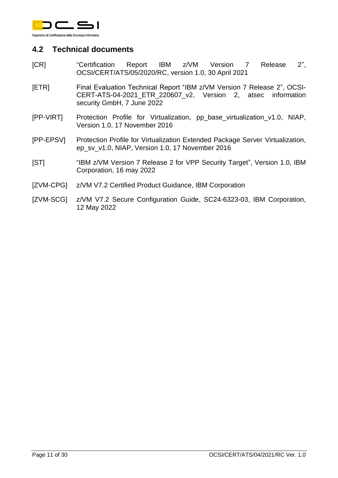

#### <span id="page-10-0"></span>**4.2 Technical documents**

- [CR] "Certification Report IBM z/VM Version 7 Release 2", OCSI/CERT/ATS/05/2020/RC, version 1.0, 30 April 2021
- [ETR] Final Evaluation Technical Report "IBM z/VM Version 7 Release 2", OCSI-CERT-ATS-04-2021\_ETR\_220607\_v2, Version 2, atsec information security GmbH, 7 June 2022
- [PP-VIRT] Protection Profile for Virtualization, pp\_base\_virtualization\_v1.0, NIAP, Version 1.0, 17 November 2016
- [PP-EPSV] Protection Profile for Virtualization Extended Package Server Virtualization, ep\_sv\_v1.0, NIAP, Version 1.0, 17 November 2016
- [ST] "IBM z/VM Version 7 Release 2 for VPP Security Target", Version 1.0, IBM Corporation, 16 may 2022
- [ZVM-CPG] z/VM V7.2 Certified Product Guidance, IBM Corporation
- [ZVM-SCG] z/VM V7.2 Secure Configuration Guide, SC24-6323-03, IBM Corporation, 12 May 2022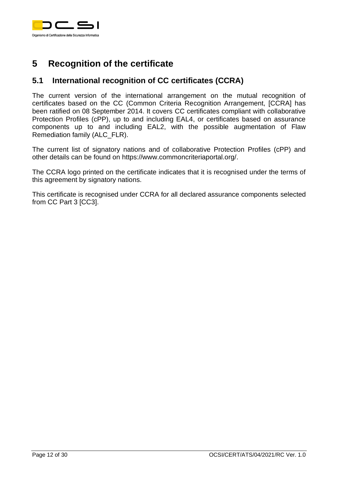

## <span id="page-11-0"></span>**5 Recognition of the certificate**

#### <span id="page-11-1"></span>**5.1 International recognition of CC certificates (CCRA)**

The current version of the international arrangement on the mutual recognition of certificates based on the CC (Common Criteria Recognition Arrangement, [CCRA] has been ratified on 08 September 2014. It covers CC certificates compliant with collaborative Protection Profiles (cPP), up to and including EAL4, or certificates based on assurance components up to and including EAL2, with the possible augmentation of Flaw Remediation family (ALC\_FLR).

The current list of signatory nations and of collaborative Protection Profiles (cPP) and other details can be found on https://www.commoncriteriaportal.org/.

The CCRA logo printed on the certificate indicates that it is recognised under the terms of this agreement by signatory nations.

This certificate is recognised under CCRA for all declared assurance components selected from CC Part 3 [CC3].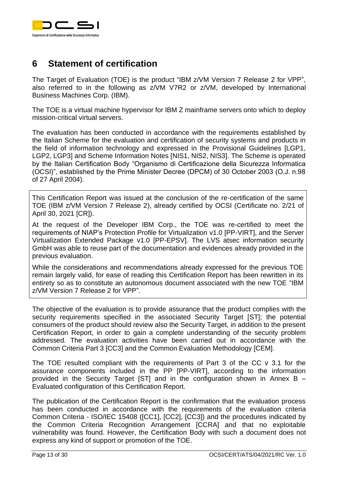

## <span id="page-12-0"></span>**6 Statement of certification**

The Target of Evaluation (TOE) is the product "IBM z/VM Version 7 Release 2 for VPP", also referred to in the following as z/VM V7R2 or z/VM, developed by International Business Machines Corp. (IBM).

The TOE is a virtual machine hypervisor for IBM Z mainframe servers onto which to deploy mission-critical virtual servers.

The evaluation has been conducted in accordance with the requirements established by the Italian Scheme for the evaluation and certification of security systems and products in the field of information technology and expressed in the Provisional Guidelines [LGP1, LGP2, LGP3] and Scheme Information Notes [NIS1, NIS2, NIS3]. The Scheme is operated by the Italian Certification Body "Organismo di Certificazione della Sicurezza Informatica (OCSI)", established by the Prime Minister Decree (DPCM) of 30 October 2003 (O.J. n.98 of 27 April 2004).

This Certification Report was issued at the conclusion of the re-certification of the same TOE (IBM z/VM Version 7 Release 2), already certified by OCSI (Certificate no. 2/21 of April 30, 2021 [CR]).

At the request of the Developer IBM Corp., the TOE was re-certified to meet the requirements of NIAP's Protection Profile for Virtualization v1.0 [PP-VIRT], and the Server Virtualization Extended Package v1.0 [PP-EPSV]. The LVS atsec information security GmbH was able to reuse part of the documentation and evidences already provided in the previous evaluation.

While the considerations and recommendations already expressed for the previous TOE remain largely valid, for ease of reading this Certification Report has been rewritten in its entirety so as to constitute an autonomous document associated with the new TOE "IBM z/VM Version 7 Release 2 for VPP".

The objective of the evaluation is to provide assurance that the product complies with the security requirements specified in the associated Security Target [ST]; the potential consumers of the product should review also the Security Target, in addition to the present Certification Report, in order to gain a complete understanding of the security problem addressed. The evaluation activities have been carried out in accordance with the Common Criteria Part 3 [CC3] and the Common Evaluation Methodology [CEM].

The TOE resulted compliant with the requirements of Part 3 of the CC v 3.1 for the assurance components included in the PP [PP-VIRT], according to the information provided in the Security Target [ST] and in the configuration shown in Annex B  $-$ [Evaluated configuration](#page-27-0) of this Certification Report.

The publication of the Certification Report is the confirmation that the evaluation process has been conducted in accordance with the requirements of the evaluation criteria Common Criteria - ISO/IEC 15408 ([CC1], [CC2], [CC3]) and the procedures indicated by the Common Criteria Recognition Arrangement [CCRA] and that no exploitable vulnerability was found. However, the Certification Body with such a document does not express any kind of support or promotion of the TOE.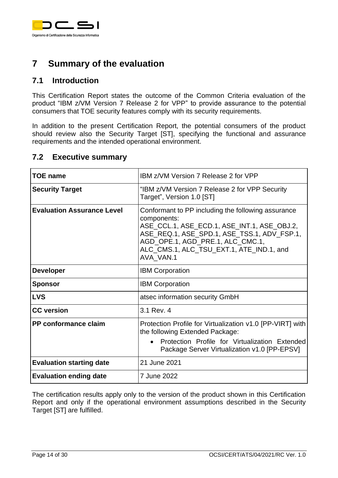

## <span id="page-13-0"></span>**7 Summary of the evaluation**

#### <span id="page-13-1"></span>**7.1 Introduction**

This Certification Report states the outcome of the Common Criteria evaluation of the product "IBM z/VM Version 7 Release 2 for VPP" to provide assurance to the potential consumers that TOE security features comply with its security requirements.

In addition to the present Certification Report, the potential consumers of the product should review also the Security Target [ST], specifying the functional and assurance requirements and the intended operational environment.

| <b>TOE name</b>                   | IBM z/VM Version 7 Release 2 for VPP                                                                                                                                                                                                                         |  |
|-----------------------------------|--------------------------------------------------------------------------------------------------------------------------------------------------------------------------------------------------------------------------------------------------------------|--|
| <b>Security Target</b>            | "IBM z/VM Version 7 Release 2 for VPP Security<br>Target", Version 1.0 [ST]                                                                                                                                                                                  |  |
| <b>Evaluation Assurance Level</b> | Conformant to PP including the following assurance<br>components:<br>ASE_CCL.1, ASE_ECD.1, ASE_INT.1, ASE_OBJ.2,<br>ASE_REQ.1, ASE_SPD.1, ASE_TSS.1, ADV_FSP.1,<br>AGD_OPE.1, AGD_PRE.1, ALC_CMC.1,<br>ALC_CMS.1, ALC_TSU_EXT.1, ATE_IND.1, and<br>AVA VAN.1 |  |
| <b>Developer</b>                  | <b>IBM Corporation</b>                                                                                                                                                                                                                                       |  |
| <b>Sponsor</b>                    | <b>IBM Corporation</b>                                                                                                                                                                                                                                       |  |
| <b>LVS</b>                        | atsec information security GmbH                                                                                                                                                                                                                              |  |
| <b>CC</b> version                 | 3.1 Rev. 4                                                                                                                                                                                                                                                   |  |
| <b>PP conformance claim</b>       | Protection Profile for Virtualization v1.0 [PP-VIRT] with<br>the following Extended Package:<br>Protection Profile for Virtualization Extended<br>Package Server Virtualization v1.0 [PP-EPSV]                                                               |  |
| <b>Evaluation starting date</b>   | 21 June 2021                                                                                                                                                                                                                                                 |  |
| <b>Evaluation ending date</b>     | 7 June 2022                                                                                                                                                                                                                                                  |  |

#### <span id="page-13-2"></span>**7.2 Executive summary**

The certification results apply only to the version of the product shown in this Certification Report and only if the operational environment assumptions described in the Security Target [ST] are fulfilled.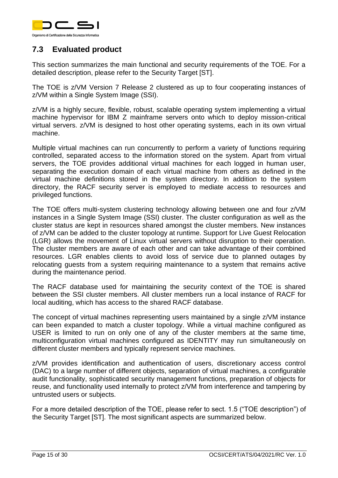

### <span id="page-14-0"></span>**7.3 Evaluated product**

This section summarizes the main functional and security requirements of the TOE. For a detailed description, please refer to the Security Target [ST].

The TOE is z/VM Version 7 Release 2 clustered as up to four cooperating instances of z/VM within a Single System Image (SSI).

z/VM is a highly secure, flexible, robust, scalable operating system implementing a virtual machine hypervisor for IBM Z mainframe servers onto which to deploy mission-critical virtual servers. z/VM is designed to host other operating systems, each in its own virtual machine.

Multiple virtual machines can run concurrently to perform a variety of functions requiring controlled, separated access to the information stored on the system. Apart from virtual servers, the TOE provides additional virtual machines for each logged in human user, separating the execution domain of each virtual machine from others as defined in the virtual machine definitions stored in the system directory. In addition to the system directory, the RACF security server is employed to mediate access to resources and privileged functions.

The TOE offers multi-system clustering technology allowing between one and four z/VM instances in a Single System Image (SSI) cluster. The cluster configuration as well as the cluster status are kept in resources shared amongst the cluster members. New instances of z/VM can be added to the cluster topology at runtime. Support for Live Guest Relocation (LGR) allows the movement of Linux virtual servers without disruption to their operation. The cluster members are aware of each other and can take advantage of their combined resources. LGR enables clients to avoid loss of service due to planned outages by relocating guests from a system requiring maintenance to a system that remains active during the maintenance period.

The RACF database used for maintaining the security context of the TOE is shared between the SSI cluster members. All cluster members run a local instance of RACF for local auditing, which has access to the shared RACF database.

The concept of virtual machines representing users maintained by a single z/VM instance can been expanded to match a cluster topology. While a virtual machine configured as USER is limited to run on only one of any of the cluster members at the same time, multiconfiguration virtual machines configured as IDENTITY may run simultaneously on different cluster members and typically represent service machines.

z/VM provides identification and authentication of users, discretionary access control (DAC) to a large number of different objects, separation of virtual machines, a configurable audit functionality, sophisticated security management functions, preparation of objects for reuse, and functionality used internally to protect z/VM from interference and tampering by untrusted users or subjects.

For a more detailed description of the TOE, please refer to sect. 1.5 ("TOE description") of the Security Target [ST]. The most significant aspects are summarized below.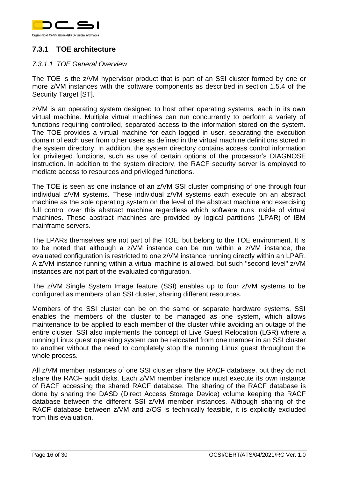

#### <span id="page-15-0"></span>**7.3.1 TOE architecture**

#### *7.3.1.1 TOE General Overview*

The TOE is the z/VM hypervisor product that is part of an SSI cluster formed by one or more z/VM instances with the software components as described in section 1.5.4 of the Security Target [ST].

z/VM is an operating system designed to host other operating systems, each in its own virtual machine. Multiple virtual machines can run concurrently to perform a variety of functions requiring controlled, separated access to the information stored on the system. The TOE provides a virtual machine for each logged in user, separating the execution domain of each user from other users as defined in the virtual machine definitions stored in the system directory. In addition, the system directory contains access control information for privileged functions, such as use of certain options of the processor's DIAGNOSE instruction. In addition to the system directory, the RACF security server is employed to mediate access to resources and privileged functions.

The TOE is seen as one instance of an z/VM SSI cluster comprising of one through four individual z/VM systems. These individual z/VM systems each execute on an abstract machine as the sole operating system on the level of the abstract machine and exercising full control over this abstract machine regardless which software runs inside of virtual machines. These abstract machines are provided by logical partitions (LPAR) of IBM mainframe servers.

The LPARs themselves are not part of the TOE, but belong to the TOE environment. It is to be noted that although a z/VM instance can be run within a z/VM instance, the evaluated configuration is restricted to one z/VM instance running directly within an LPAR. A z/VM instance running within a virtual machine is allowed, but such "second level" z/VM instances are not part of the evaluated configuration.

The z/VM Single System Image feature (SSI) enables up to four z/VM systems to be configured as members of an SSI cluster, sharing different resources.

Members of the SSI cluster can be on the same or separate hardware systems. SSI enables the members of the cluster to be managed as one system, which allows maintenance to be applied to each member of the cluster while avoiding an outage of the entire cluster. SSI also implements the concept of Live Guest Relocation (LGR) where a running Linux guest operating system can be relocated from one member in an SSI cluster to another without the need to completely stop the running Linux guest throughout the whole process.

All z/VM member instances of one SSI cluster share the RACF database, but they do not share the RACF audit disks. Each z/VM member instance must execute its own instance of RACF accessing the shared RACF database. The sharing of the RACF database is done by sharing the DASD (Direct Access Storage Device) volume keeping the RACF database between the different SSI z/VM member instances. Although sharing of the RACF database between z/VM and z/OS is technically feasible, it is explicitly excluded from this evaluation.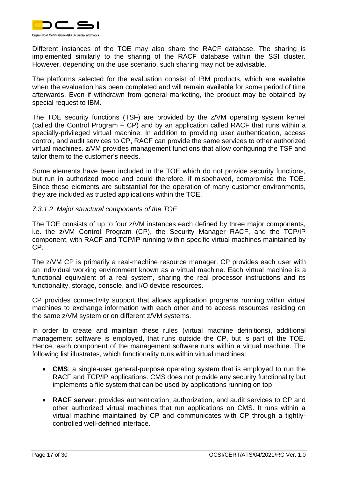

Different instances of the TOE may also share the RACF database. The sharing is implemented similarly to the sharing of the RACF database within the SSI cluster. However, depending on the use scenario, such sharing may not be advisable.

The platforms selected for the evaluation consist of IBM products, which are available when the evaluation has been completed and will remain available for some period of time afterwards. Even if withdrawn from general marketing, the product may be obtained by special request to IBM.

The TOE security functions (TSF) are provided by the z/VM operating system kernel (called the Control Program – CP) and by an application called RACF that runs within a specially-privileged virtual machine. In addition to providing user authentication, access control, and audit services to CP, RACF can provide the same services to other authorized virtual machines. z/VM provides management functions that allow configuring the TSF and tailor them to the customer's needs.

Some elements have been included in the TOE which do not provide security functions, but run in authorized mode and could therefore, if misbehaved, compromise the TOE. Since these elements are substantial for the operation of many customer environments, they are included as trusted applications within the TOE.

#### *7.3.1.2 Major structural components of the TOE*

The TOE consists of up to four z/VM instances each defined by three major components, i.e. the z/VM Control Program (CP), the Security Manager RACF, and the TCP/IP component, with RACF and TCP/IP running within specific virtual machines maintained by CP.

The z/VM CP is primarily a real-machine resource manager. CP provides each user with an individual working environment known as a virtual machine. Each virtual machine is a functional equivalent of a real system, sharing the real processor instructions and its functionality, storage, console, and I/O device resources.

CP provides connectivity support that allows application programs running within virtual machines to exchange information with each other and to access resources residing on the same z/VM system or on different z/VM systems.

In order to create and maintain these rules (virtual machine definitions), additional management software is employed, that runs outside the CP, but is part of the TOE. Hence, each component of the management software runs within a virtual machine. The following list illustrates, which functionality runs within virtual machines:

- **CMS**: a single-user general-purpose operating system that is employed to run the RACF and TCP/IP applications. CMS does not provide any security functionality but implements a file system that can be used by applications running on top.
- **RACF server**: provides authentication, authorization, and audit services to CP and other authorized virtual machines that run applications on CMS. It runs within a virtual machine maintained by CP and communicates with CP through a tightlycontrolled well-defined interface.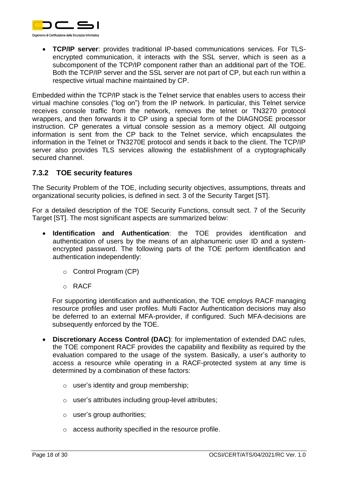

• **TCP/IP server**: provides traditional IP-based communications services. For TLSencrypted communication, it interacts with the SSL server, which is seen as a subcomponent of the TCP/IP component rather than an additional part of the TOE. Both the TCP/IP server and the SSL server are not part of CP, but each run within a respective virtual machine maintained by CP.

Embedded within the TCP/IP stack is the Telnet service that enables users to access their virtual machine consoles ("log on") from the IP network. In particular, this Telnet service receives console traffic from the network, removes the telnet or TN3270 protocol wrappers, and then forwards it to CP using a special form of the DIAGNOSE processor instruction. CP generates a virtual console session as a memory object. All outgoing information is sent from the CP back to the Telnet service, which encapsulates the information in the Telnet or TN3270E protocol and sends it back to the client. The TCP/IP server also provides TLS services allowing the establishment of a cryptographically secured channel.

#### <span id="page-17-0"></span>**7.3.2 TOE security features**

The Security Problem of the TOE, including security objectives, assumptions, threats and organizational security policies, is defined in sect. 3 of the Security Target [ST].

For a detailed description of the TOE Security Functions, consult sect. 7 of the Security Target [ST]. The most significant aspects are summarized below:

- **Identification and Authentication**: the TOE provides identification and authentication of users by the means of an alphanumeric user ID and a systemencrypted password. The following parts of the TOE perform identification and authentication independently:
	- o Control Program (CP)
	- o RACF

For supporting identification and authentication, the TOE employs RACF managing resource profiles and user profiles. Multi Factor Authentication decisions may also be deferred to an external MFA-provider, if configured. Such MFA-decisions are subsequently enforced by the TOE.

- **Discretionary Access Control (DAC)**: for implementation of extended DAC rules, the TOE component RACF provides the capability and flexibility as required by the evaluation compared to the usage of the system. Basically, a user's authority to access a resource while operating in a RACF-protected system at any time is determined by a combination of these factors:
	- o user's identity and group membership;
	- o user's attributes including group-level attributes;
	- o user's group authorities;
	- o access authority specified in the resource profile.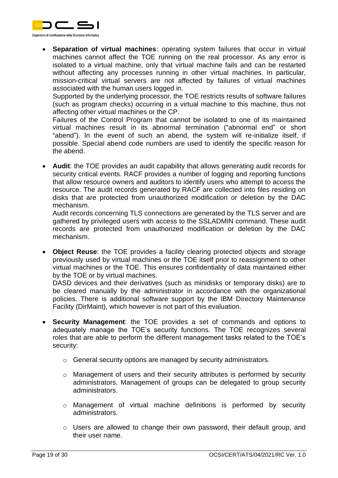

**Separation of virtual machines**: operating system failures that occur in virtual machines cannot affect the TOE running on the real processor. As any error is isolated to a virtual machine, only that virtual machine fails and can be restarted without affecting any processes running in other virtual machines. In particular, mission-critical virtual servers are not affected by failures of virtual machines associated with the human users logged in.

Supported by the underlying processor, the TOE restricts results of software failures (such as program checks) occurring in a virtual machine to this machine, thus not affecting other virtual machines or the CP.

Failures of the Control Program that cannot be isolated to one of its maintained virtual machines result in its abnormal termination ("abnormal end" or short "abend"). In the event of such an abend, the system will re-initialize itself, if possible. Special abend code numbers are used to identify the specific reason for the abend.

• **Audit**: the TOE provides an audit capability that allows generating audit records for security critical events. RACF provides a number of logging and reporting functions that allow resource owners and auditors to identify users who attempt to access the resource. The audit records generated by RACF are collected into files residing on disks that are protected from unauthorized modification or deletion by the DAC mechanism.

Audit records concerning TLS connections are generated by the TLS server and are gathered by privileged users with access to the SSLADMIN command. These audit records are protected from unauthorized modification or deletion by the DAC mechanism.

• **Object Reuse**: the TOE provides a facility clearing protected objects and storage previously used by virtual machines or the TOE itself prior to reassignment to other virtual machines or the TOE. This ensures confidentiality of data maintained either by the TOE or by virtual machines.

DASD devices and their derivatives (such as minidisks or temporary disks) are to be cleared manually by the administrator in accordance with the organizational policies. There is additional software support by the IBM Directory Maintenance Facility (DirMaint), which however is not part of this evaluation.

- **Security Management**: the TOE provides a set of commands and options to adequately manage the TOE's security functions. The TOE recognizes several roles that are able to perform the different management tasks related to the TOE's security:
	- o General security options are managed by security administrators.
	- o Management of users and their security attributes is performed by security administrators. Management of groups can be delegated to group security administrators.
	- o Management of virtual machine definitions is performed by security administrators.
	- o Users are allowed to change their own password, their default group, and their user name.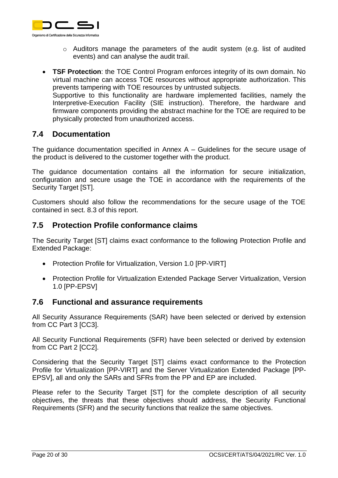

- o Auditors manage the parameters of the audit system (e.g. list of audited events) and can analyse the audit trail.
- **TSF Protection**: the TOE Control Program enforces integrity of its own domain. No virtual machine can access TOE resources without appropriate authorization. This prevents tampering with TOE resources by untrusted subjects. Supportive to this functionality are hardware implemented facilities, namely the Interpretive-Execution Facility (SIE instruction). Therefore, the hardware and firmware components providing the abstract machine for the TOE are required to be physically protected from unauthorized access.

#### <span id="page-19-0"></span>**7.4 Documentation**

The guidance documentation specified in Annex A – [Guidelines for the secure usage of](#page-24-0)  [the product](#page-24-0) is delivered to the customer together with the product.

The guidance documentation contains all the information for secure initialization, configuration and secure usage the TOE in accordance with the requirements of the Security Target [ST].

Customers should also follow the recommendations for the secure usage of the TOE contained in sect. [8.3](#page-22-1) of this report.

#### <span id="page-19-1"></span>**7.5 Protection Profile conformance claims**

The Security Target [ST] claims exact conformance to the following Protection Profile and Extended Package:

- Protection Profile for Virtualization, Version 1.0 [PP-VIRT]
- Protection Profile for Virtualization Extended Package Server Virtualization, Version 1.0 [PP-EPSV]

#### <span id="page-19-2"></span>**7.6 Functional and assurance requirements**

All Security Assurance Requirements (SAR) have been selected or derived by extension from CC Part 3 [CC3].

All Security Functional Requirements (SFR) have been selected or derived by extension from CC Part 2 [CC2].

Considering that the Security Target [ST] claims exact conformance to the Protection Profile for Virtualization [PP-VIRT] and the Server Virtualization Extended Package [PP-EPSV], all and only the SARs and SFRs from the PP and EP are included.

Please refer to the Security Target [ST] for the complete description of all security objectives, the threats that these objectives should address, the Security Functional Requirements (SFR) and the security functions that realize the same objectives.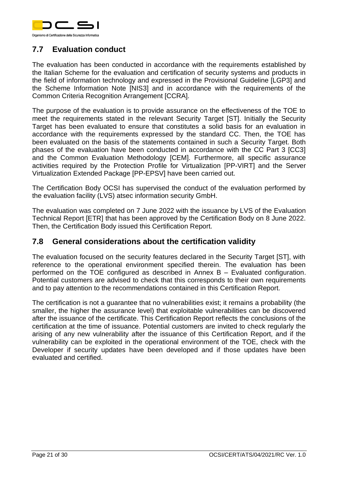

### <span id="page-20-0"></span>**7.7 Evaluation conduct**

The evaluation has been conducted in accordance with the requirements established by the Italian Scheme for the evaluation and certification of security systems and products in the field of information technology and expressed in the Provisional Guideline [LGP3] and the Scheme Information Note [NIS3] and in accordance with the requirements of the Common Criteria Recognition Arrangement [CCRA].

The purpose of the evaluation is to provide assurance on the effectiveness of the TOE to meet the requirements stated in the relevant Security Target [ST]. Initially the Security Target has been evaluated to ensure that constitutes a solid basis for an evaluation in accordance with the requirements expressed by the standard CC. Then, the TOE has been evaluated on the basis of the statements contained in such a Security Target. Both phases of the evaluation have been conducted in accordance with the CC Part 3 [CC3] and the Common Evaluation Methodology [CEM]. Furthermore, all specific assurance activities required by the Protection Profile for Virtualization [PP-VIRT] and the Server Virtualization Extended Package [PP-EPSV] have been carried out.

The Certification Body OCSI has supervised the conduct of the evaluation performed by the evaluation facility (LVS) atsec information security GmbH.

The evaluation was completed on 7 June 2022 with the issuance by LVS of the Evaluation Technical Report [ETR] that has been approved by the Certification Body on 8 June 2022. Then, the Certification Body issued this Certification Report.

#### <span id="page-20-1"></span>**7.8 General considerations about the certification validity**

The evaluation focused on the security features declared in the Security Target [ST], with reference to the operational environment specified therein. The evaluation has been performed on the TOE configured as described in Annex B – [Evaluated configuration.](#page-27-0) Potential customers are advised to check that this corresponds to their own requirements and to pay attention to the recommendations contained in this Certification Report.

The certification is not a guarantee that no vulnerabilities exist; it remains a probability (the smaller, the higher the assurance level) that exploitable vulnerabilities can be discovered after the issuance of the certificate. This Certification Report reflects the conclusions of the certification at the time of issuance. Potential customers are invited to check regularly the arising of any new vulnerability after the issuance of this Certification Report, and if the vulnerability can be exploited in the operational environment of the TOE, check with the Developer if security updates have been developed and if those updates have been evaluated and certified.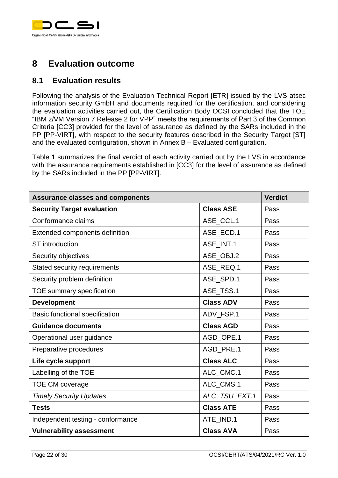

## <span id="page-21-0"></span>**8 Evaluation outcome**

#### <span id="page-21-1"></span>**8.1 Evaluation results**

Following the analysis of the Evaluation Technical Report [ETR] issued by the LVS atsec information security GmbH and documents required for the certification, and considering the evaluation activities carried out, the Certification Body OCSI concluded that the TOE "IBM z/VM Version 7 Release 2 for VPP" meets the requirements of Part 3 of the Common Criteria [CC3] provided for the level of assurance as defined by the SARs included in the PP [PP-VIRT], with respect to the security features described in the Security Target [ST] and the evaluated configuration, shown in Annex B – [Evaluated configuration.](#page-27-0)

[Table 1](#page-22-2) summarizes the final verdict of each activity carried out by the LVS in accordance with the assurance requirements established in [CC3] for the level of assurance as defined by the SARs included in the PP [PP-VIRT].

| <b>Assurance classes and components</b> | <b>Verdict</b>   |      |
|-----------------------------------------|------------------|------|
| <b>Security Target evaluation</b>       | <b>Class ASE</b> | Pass |
| Conformance claims                      | ASE_CCL.1        | Pass |
| Extended components definition          | ASE_ECD.1        | Pass |
| <b>ST</b> introduction                  | ASE_INT.1        | Pass |
| Security objectives                     | ASE_OBJ.2        | Pass |
| Stated security requirements            | ASE_REQ.1        | Pass |
| Security problem definition             | ASE_SPD.1        | Pass |
| TOE summary specification               | ASE_TSS.1        | Pass |
| <b>Development</b>                      | <b>Class ADV</b> | Pass |
| <b>Basic functional specification</b>   | ADV_FSP.1        | Pass |
| <b>Guidance documents</b>               | <b>Class AGD</b> | Pass |
| Operational user guidance               | AGD_OPE.1        | Pass |
| Preparative procedures                  | AGD_PRE.1        | Pass |
| Life cycle support                      | <b>Class ALC</b> | Pass |
| Labelling of the TOE                    | ALC_CMC.1        | Pass |
| <b>TOE CM coverage</b>                  | ALC_CMS.1        | Pass |
| <b>Timely Security Updates</b>          | ALC_TSU_EXT.1    | Pass |
| <b>Tests</b>                            | <b>Class ATE</b> | Pass |
| Independent testing - conformance       | ATE_IND.1        | Pass |
| <b>Vulnerability assessment</b>         | <b>Class AVA</b> | Pass |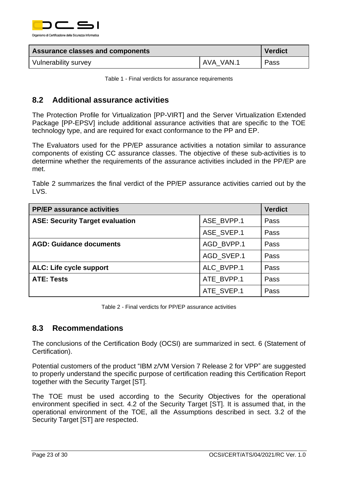

<span id="page-22-2"></span>

| <b>Assurance classes and components</b> |            | <b>Verdict</b> |
|-----------------------------------------|------------|----------------|
| Vulnerability survey                    | LAVA VAN.1 | Pass           |

Table 1 - Final verdicts for assurance requirements

#### <span id="page-22-0"></span>**8.2 Additional assurance activities**

The Protection Profile for Virtualization [PP-VIRT] and the Server Virtualization Extended Package [PP-EPSV] include additional assurance activities that are specific to the TOE technology type, and are required for exact conformance to the PP and EP.

The Evaluators used for the PP/EP assurance activities a notation similar to assurance components of existing CC assurance classes. The objective of these sub-activities is to determine whether the requirements of the assurance activities included in the PP/EP are met.

[Table 2](#page-22-3) summarizes the final verdict of the PP/EP assurance activities carried out by the LVS.

| <b>PP/EP assurance activities</b>                    |            | <b>Verdict</b> |
|------------------------------------------------------|------------|----------------|
| ASE_BVPP.1<br><b>ASE: Security Target evaluation</b> |            | Pass           |
|                                                      | ASE_SVEP.1 | Pass           |
| AGD BVPP.1<br><b>AGD: Guidance documents</b>         |            | Pass           |
|                                                      | AGD SVEP.1 | Pass           |
| <b>ALC: Life cycle support</b>                       | ALC BVPP.1 | Pass           |
| <b>ATE: Tests</b>                                    | ATE BVPP.1 | Pass           |
|                                                      | ATE SVEP.1 | Pass           |

Table 2 - Final verdicts for PP/EP assurance activities

#### <span id="page-22-3"></span><span id="page-22-1"></span>**8.3 Recommendations**

The conclusions of the Certification Body (OCSI) are summarized in sect. [6](#page-12-0) (Statement of Certification).

Potential customers of the product "IBM z/VM Version 7 Release 2 for VPP" are suggested to properly understand the specific purpose of certification reading this Certification Report together with the Security Target [ST].

The TOE must be used according to the Security Objectives for the operational environment specified in sect. 4.2 of the Security Target [ST]. It is assumed that, in the operational environment of the TOE, all the Assumptions described in sect. 3.2 of the Security Target [ST] are respected.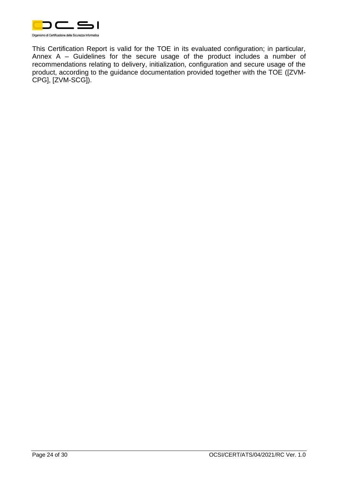

This Certification Report is valid for the TOE in its evaluated configuration; in particular, Annex A – [Guidelines for the secure usage of the product](#page-24-0) includes a number of recommendations relating to delivery, initialization, configuration and secure usage of the product, according to the guidance documentation provided together with the TOE ([ZVM-CPG], [ZVM-SCG]).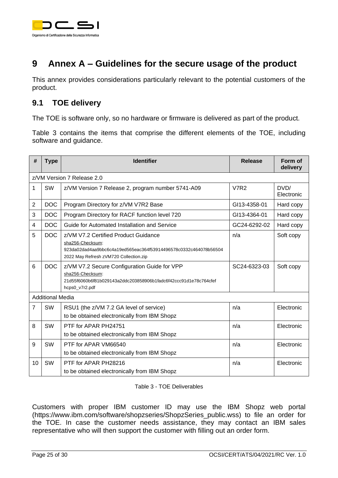

## <span id="page-24-0"></span>**9 Annex A – Guidelines for the secure usage of the product**

This annex provides considerations particularly relevant to the potential customers of the product.

#### <span id="page-24-1"></span>**9.1 TOE delivery**

The TOE is software only, so no hardware or firmware is delivered as part of the product.

[Table 3](#page-24-2) contains the items that comprise the different elements of the TOE, including software and guidance.

| #                       | <b>Type</b>                | <b>Identifier</b>                                                                                                                                                      | Release      | Form of<br>delivery |  |
|-------------------------|----------------------------|------------------------------------------------------------------------------------------------------------------------------------------------------------------------|--------------|---------------------|--|
|                         | z/VM Version 7 Release 2.0 |                                                                                                                                                                        |              |                     |  |
| 1                       | <b>SW</b>                  | z/VM Version 7 Release 2, program number 5741-A09                                                                                                                      | <b>V7R2</b>  | DVD/<br>Electronic  |  |
| 2                       | <b>DOC</b>                 | Program Directory for z/VM V7R2 Base                                                                                                                                   | GI13-4358-01 | Hard copy           |  |
| 3                       | <b>DOC</b>                 | Program Directory for RACF function level 720                                                                                                                          | GI13-4364-01 | Hard copy           |  |
| 4                       | <b>DOC</b>                 | Guide for Automated Installation and Service                                                                                                                           | GC24-6292-02 | Hard copy           |  |
| 5                       | <b>DOC</b>                 | z/VM V7.2 Certified Product Guidance<br>sha256-Checksum:<br>923da02dad4aa9bbc6c4a19ed565eac364f53914496578c0332c464078b56504<br>2022 May Refresh zVM720 Collection.zip | n/a          | Soft copy           |  |
| 6                       | <b>DOC</b>                 | z/VM V7.2 Secure Configuration Guide for VPP<br>sha256-Checksum:<br>21d55f6060b6f81b029143a2ddc203858906b1fadc6f42ccc91d1e78c764cfef<br>hcps0_v7r2.pdf                 | SC24-6323-03 | Soft copy           |  |
| <b>Additional Media</b> |                            |                                                                                                                                                                        |              |                     |  |
| $\overline{7}$          | <b>SW</b>                  | RSU1 (the z/VM 7.2 GA level of service)<br>to be obtained electronically from IBM Shopz                                                                                | n/a          | Electronic          |  |
| 8                       | <b>SW</b>                  | PTF for APAR PH24751<br>to be obtained electronically from IBM Shopz                                                                                                   | n/a          | Electronic          |  |
| 9                       | SW                         | PTF for APAR VM66540<br>to be obtained electronically from IBM Shopz                                                                                                   | n/a          | Electronic          |  |
| 10                      | SW                         | PTF for APAR PH28216<br>to be obtained electronically from IBM Shopz                                                                                                   | n/a          | Electronic          |  |

Table 3 - TOE Deliverables

<span id="page-24-2"></span>Customers with proper IBM customer ID may use the IBM Shopz web portal (https://www.ibm.com/software/shopzseries/ShopzSeries\_public.wss) to file an order for the TOE. In case the customer needs assistance, they may contact an IBM sales representative who will then support the customer with filling out an order form.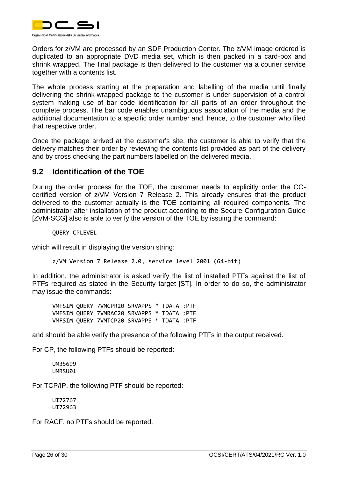

Orders for z/VM are processed by an SDF Production Center. The z/VM image ordered is duplicated to an appropriate DVD media set, which is then packed in a card-box and shrink wrapped. The final package is then delivered to the customer via a courier service together with a contents list.

The whole process starting at the preparation and labelling of the media until finally delivering the shrink-wrapped package to the customer is under supervision of a control system making use of bar code identification for all parts of an order throughout the complete process. The bar code enables unambiguous association of the media and the additional documentation to a specific order number and, hence, to the customer who filed that respective order.

Once the package arrived at the customer's site, the customer is able to verify that the delivery matches their order by reviewing the contents list provided as part of the delivery and by cross checking the part numbers labelled on the delivered media.

#### <span id="page-25-0"></span>**9.2 Identification of the TOE**

During the order process for the TOE, the customer needs to explicitly order the CCcertified version of z/VM Version 7 Release 2. This already ensures that the product delivered to the customer actually is the TOE containing all required components. The administrator after installation of the product according to the Secure Configuration Guide [ZVM-SCG] also is able to verify the version of the TOE by issuing the command:

QUERY CPLEVEL

which will result in displaying the version string:

```
z/VM Version 7 Release 2.0, service level 2001 (64-bit)
```
In addition, the administrator is asked verify the list of installed PTFs against the list of PTFs required as stated in the Security target [ST]. In order to do so, the administrator may issue the commands:

VMFSIM QUERY 7VMCPR20 SRVAPPS \* TDATA :PTF VMFSIM QUERY 7VMRAC20 SRVAPPS \* TDATA :PTF VMFSIM QUERY 7VMTCP20 SRVAPPS \* TDATA :PTF

and should be able verify the presence of the following PTFs in the output received.

For CP, the following PTFs should be reported:

UM35699 UMRSU01

For TCP/IP, the following PTF should be reported:

UI72767 UI72963

For RACF, no PTFs should be reported.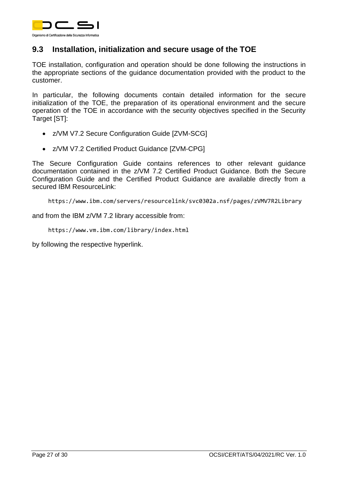

#### <span id="page-26-0"></span>**9.3 Installation, initialization and secure usage of the TOE**

TOE installation, configuration and operation should be done following the instructions in the appropriate sections of the guidance documentation provided with the product to the customer.

In particular, the following documents contain detailed information for the secure initialization of the TOE, the preparation of its operational environment and the secure operation of the TOE in accordance with the security objectives specified in the Security Target [ST]:

- z/VM V7.2 Secure Configuration Guide [ZVM-SCG]
- z/VM V7.2 Certified Product Guidance [ZVM-CPG]

The Secure Configuration Guide contains references to other relevant guidance documentation contained in the z/VM 7.2 Certified Product Guidance. Both the Secure Configuration Guide and the Certified Product Guidance are available directly from a secured IBM ResourceLink:

https://www.ibm.com/servers/resourcelink/svc0302a.nsf/pages/zVMV7R2Library

and from the IBM z/VM 7.2 library accessible from:

https://www.vm.ibm.com/library/index.html

by following the respective hyperlink.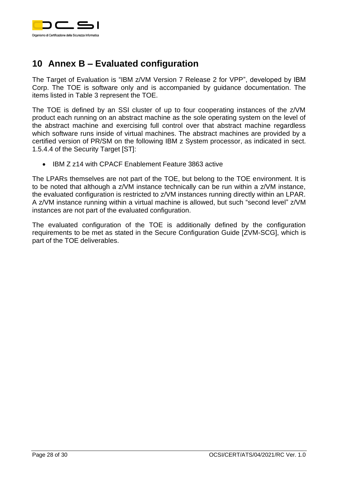

## <span id="page-27-0"></span>**10 Annex B – Evaluated configuration**

The Target of Evaluation is "IBM z/VM Version 7 Release 2 for VPP", developed by IBM Corp. The TOE is software only and is accompanied by guidance documentation. The items listed in [Table 3](#page-24-2) represent the TOE.

The TOE is defined by an SSI cluster of up to four cooperating instances of the z/VM product each running on an abstract machine as the sole operating system on the level of the abstract machine and exercising full control over that abstract machine regardless which software runs inside of virtual machines. The abstract machines are provided by a certified version of PR/SM on the following IBM z System processor, as indicated in sect. 1.5.4.4 of the Security Target [ST]:

• IBM Z z14 with CPACF Enablement Feature 3863 active

The LPARs themselves are not part of the TOE, but belong to the TOE environment. It is to be noted that although a z/VM instance technically can be run within a z/VM instance, the evaluated configuration is restricted to z/VM instances running directly within an LPAR. A z/VM instance running within a virtual machine is allowed, but such "second level" z/VM instances are not part of the evaluated configuration.

The evaluated configuration of the TOE is additionally defined by the configuration requirements to be met as stated in the Secure Configuration Guide [ZVM-SCG], which is part of the TOE deliverables.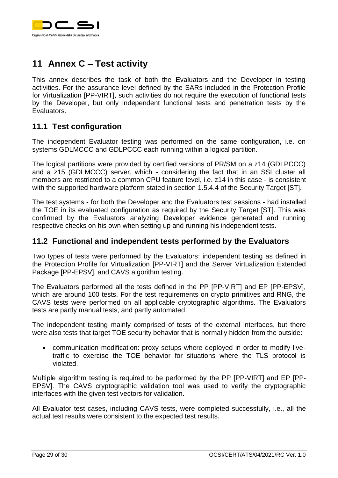

## <span id="page-28-0"></span>**11 Annex C – Test activity**

This annex describes the task of both the Evaluators and the Developer in testing activities. For the assurance level defined by the SARs included in the Protection Profile for Virtualization [PP-VIRT], such activities do not require the execution of functional tests by the Developer, but only independent functional tests and penetration tests by the Evaluators.

#### <span id="page-28-1"></span>**11.1 Test configuration**

The independent Evaluator testing was performed on the same configuration, i.e. on systems GDLMCCC and GDLPCCC each running within a logical partition.

The logical partitions were provided by certified versions of PR/SM on a z14 (GDLPCCC) and a z15 (GDLMCCC) server, which - considering the fact that in an SSI cluster all members are restricted to a common CPU feature level, i.e. z14 in this case - is consistent with the supported hardware platform stated in section 1.5.4.4 of the Security Target [ST].

The test systems - for both the Developer and the Evaluators test sessions - had installed the TOE in its evaluated configuration as required by the Security Target [ST]. This was confirmed by the Evaluators analyzing Developer evidence generated and running respective checks on his own when setting up and running his independent tests.

#### <span id="page-28-2"></span>**11.2 Functional and independent tests performed by the Evaluators**

Two types of tests were performed by the Evaluators: independent testing as defined in the Protection Profile for Virtualization [PP-VIRT] and the Server Virtualization Extended Package [PP-EPSV], and CAVS algorithm testing.

The Evaluators performed all the tests defined in the PP [PP-VIRT] and EP [PP-EPSV], which are around 100 tests. For the test requirements on crypto primitives and RNG, the CAVS tests were performed on all applicable cryptographic algorithms. The Evaluators tests are partly manual tests, and partly automated.

The independent testing mainly comprised of tests of the external interfaces, but there were also tests that target TOE security behavior that is normally hidden from the outside:

• communication modification: proxy setups where deployed in order to modify livetraffic to exercise the TOE behavior for situations where the TLS protocol is violated.

Multiple algorithm testing is required to be performed by the PP [PP-VIRT] and EP [PP-EPSV]. The CAVS cryptographic validation tool was used to verify the cryptographic interfaces with the given test vectors for validation.

All Evaluator test cases, including CAVS tests, were completed successfully, i.e., all the actual test results were consistent to the expected test results.